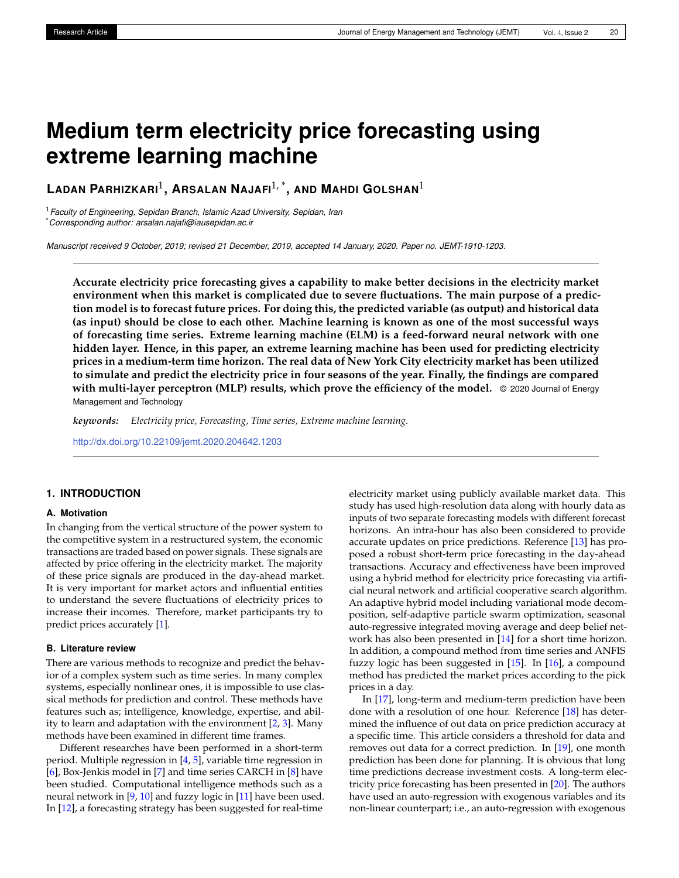# **Medium term electricity price forecasting using extreme learning machine**

**LADAN PARHIZKARI**<sup>1</sup> **, ARSALAN NAJAFI**1, \* **, AND MAHDI GOLSHAN**<sup>1</sup>

<sup>1</sup>*Faculty of Engineering, Sepidan Branch, Islamic Azad University, Sepidan, Iran* \**Corresponding author: arsalan.najafi@iausepidan.ac.ir*

*Manuscript received 9 October, 2019; revised 21 December, 2019, accepted 14 January, 2020. Paper no. JEMT-1910-1203.*

**Accurate electricity price forecasting gives a capability to make better decisions in the electricity market environment when this market is complicated due to severe fluctuations. The main purpose of a prediction model is to forecast future prices. For doing this, the predicted variable (as output) and historical data (as input) should be close to each other. Machine learning is known as one of the most successful ways of forecasting time series. Extreme learning machine (ELM) is a feed-forward neural network with one hidden layer. Hence, in this paper, an extreme learning machine has been used for predicting electricity prices in a medium-term time horizon. The real data of New York City electricity market has been utilized to simulate and predict the electricity price in four seasons of the year. Finally, the findings are compared with multi-layer perceptron (MLP) results, which prove the efficiency of the model.** © 2020 Journal of Energy Management and Technology

*keywords: Electricity price, Forecasting, Time series, Extreme machine learning.*

<http://dx.doi.org/10.22109/jemt.2020.204642.1203>

## **1. INTRODUCTION**

### **A. Motivation**

In changing from the vertical structure of the power system to the competitive system in a restructured system, the economic transactions are traded based on power signals. These signals are affected by price offering in the electricity market. The majority of these price signals are produced in the day-ahead market. It is very important for market actors and influential entities to understand the severe fluctuations of electricity prices to increase their incomes. Therefore, market participants try to predict prices accurately [\[1\]](#page-6-0).

#### **B. Literature review**

There are various methods to recognize and predict the behavior of a complex system such as time series. In many complex systems, especially nonlinear ones, it is impossible to use classical methods for prediction and control. These methods have features such as; intelligence, knowledge, expertise, and ability to learn and adaptation with the environment  $[2, 3]$  $[2, 3]$  $[2, 3]$ . Many methods have been examined in different time frames.

Different researches have been performed in a short-term period. Multiple regression in [\[4,](#page-6-3) [5\]](#page-6-4), variable time regression in [\[6\]](#page-7-0), Box-Jenkis model in [\[7\]](#page-7-1) and time series CARCH in [\[8\]](#page-7-2) have been studied. Computational intelligence methods such as a neural network in [\[9,](#page-7-3) [10\]](#page-7-4) and fuzzy logic in [\[11\]](#page-7-5) have been used. In [\[12\]](#page-7-6), a forecasting strategy has been suggested for real-time

electricity market using publicly available market data. This study has used high-resolution data along with hourly data as inputs of two separate forecasting models with different forecast horizons. An intra-hour has also been considered to provide accurate updates on price predictions. Reference [\[13\]](#page-7-7) has proposed a robust short-term price forecasting in the day-ahead transactions. Accuracy and effectiveness have been improved using a hybrid method for electricity price forecasting via artificial neural network and artificial cooperative search algorithm. An adaptive hybrid model including variational mode decomposition, self-adaptive particle swarm optimization, seasonal auto-regressive integrated moving average and deep belief network has also been presented in [\[14\]](#page-7-8) for a short time horizon. In addition, a compound method from time series and ANFIS fuzzy logic has been suggested in [\[15\]](#page-7-9). In [\[16\]](#page-7-10), a compound method has predicted the market prices according to the pick prices in a day.

In [\[17\]](#page-7-11), long-term and medium-term prediction have been done with a resolution of one hour. Reference [\[18\]](#page-7-12) has determined the influence of out data on price prediction accuracy at a specific time. This article considers a threshold for data and removes out data for a correct prediction. In [\[19\]](#page-7-13), one month prediction has been done for planning. It is obvious that long time predictions decrease investment costs. A long-term electricity price forecasting has been presented in [\[20\]](#page-7-14). The authors have used an auto-regression with exogenous variables and its non-linear counterpart; i.e., an auto-regression with exogenous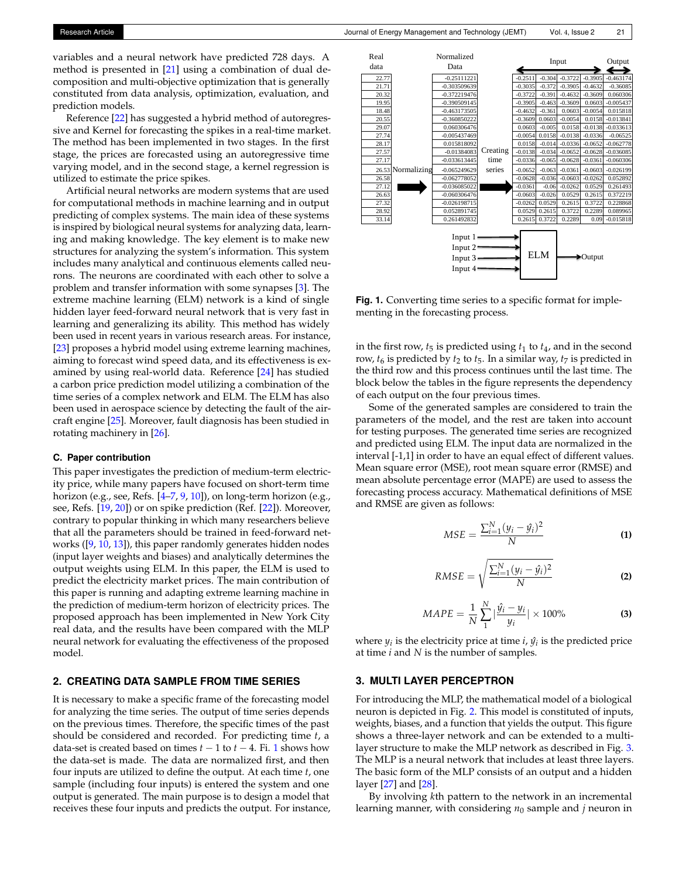variables and a neural network have predicted 728 days. A method is presented in [\[21\]](#page-7-15) using a combination of dual decomposition and multi-objective optimization that is generally constituted from data analysis, optimization, evaluation, and prediction models.

Reference [\[22\]](#page-7-16) has suggested a hybrid method of autoregressive and Kernel for forecasting the spikes in a real-time market. The method has been implemented in two stages. In the first stage, the prices are forecasted using an autoregressive time varying model, and in the second stage, a kernel regression is utilized to estimate the price spikes.

Artificial neural networks are modern systems that are used for computational methods in machine learning and in output predicting of complex systems. The main idea of these systems is inspired by biological neural systems for analyzing data, learning and making knowledge. The key element is to make new structures for analyzing the system's information. This system includes many analytical and continuous elements called neurons. The neurons are coordinated with each other to solve a problem and transfer information with some synapses [\[3\]](#page-6-2). The extreme machine learning (ELM) network is a kind of single hidden layer feed-forward neural network that is very fast in learning and generalizing its ability. This method has widely been used in recent years in various research areas. For instance, [\[23\]](#page-7-17) proposes a hybrid model using extreme learning machines, aiming to forecast wind speed data, and its effectiveness is examined by using real-world data. Reference [\[24\]](#page-7-18) has studied a carbon price prediction model utilizing a combination of the time series of a complex network and ELM. The ELM has also been used in aerospace science by detecting the fault of the aircraft engine [\[25\]](#page-7-19). Moreover, fault diagnosis has been studied in rotating machinery in [\[26\]](#page-7-20).

#### **C. Paper contribution**

This paper investigates the prediction of medium-term electricity price, while many papers have focused on short-term time horizon (e.g., see, Refs. [\[4](#page-6-3)[–7,](#page-7-1) [9,](#page-7-3) [10\]](#page-7-4)), on long-term horizon (e.g., see, Refs. [\[19,](#page-7-13) [20\]](#page-7-14)) or on spike prediction (Ref. [\[22\]](#page-7-16)). Moreover, contrary to popular thinking in which many researchers believe that all the parameters should be trained in feed-forward networks ([\[9,](#page-7-3) [10,](#page-7-4) [13\]](#page-7-7)), this paper randomly generates hidden nodes (input layer weights and biases) and analytically determines the output weights using ELM. In this paper, the ELM is used to predict the electricity market prices. The main contribution of this paper is running and adapting extreme learning machine in the prediction of medium-term horizon of electricity prices. The proposed approach has been implemented in New York City real data, and the results have been compared with the MLP neural network for evaluating the effectiveness of the proposed model.

### <span id="page-1-2"></span>**2. CREATING DATA SAMPLE FROM TIME SERIES**

It is necessary to make a specific frame of the forecasting model for analyzing the time series. The output of time series depends on the previous times. Therefore, the specific times of the past should be considered and recorded. For predicting time *t*, a data-set is created based on times  $t - 1$  $t - 1$  to  $t - 4$ . Fi. 1 shows how the data-set is made. The data are normalized first, and then four inputs are utilized to define the output. At each time *t*, one sample (including four inputs) is entered the system and one output is generated. The main purpose is to design a model that receives these four inputs and predicts the output. For instance,

<span id="page-1-0"></span>

**Fig. 1.** Converting time series to a specific format for implementing in the forecasting process.

in the first row,  $t_5$  is predicted using  $t_1$  to  $t_4$ , and in the second row,  $t_6$  is predicted by  $t_2$  to  $t_5$ . In a similar way,  $t_7$  is predicted in the third row and this process continues until the last time. The block below the tables in the figure represents the dependency of each output on the four previous times.

Some of the generated samples are considered to train the parameters of the model, and the rest are taken into account for testing purposes. The generated time series are recognized and predicted using ELM. The input data are normalized in the interval [-1,1] in order to have an equal effect of different values. Mean square error (MSE), root mean square error (RMSE) and mean absolute percentage error (MAPE) are used to assess the forecasting process accuracy. Mathematical definitions of MSE and RMSE are given as follows:

$$
MSE = \frac{\sum_{i=1}^{N} (y_i - \hat{y}_i)^2}{N}
$$
 (1)

$$
RMSE = \sqrt{\frac{\sum_{i=1}^{N} (y_i - \hat{y}_i)^2}{N}}
$$
 (2)

$$
MAPE = \frac{1}{N} \sum_{1}^{N} |\frac{\hat{y}_i - y_i}{y_i}| \times 100\% \tag{3}
$$

where  $y_i$  is the electricity price at time *i*,  $\hat{y_i}$  is the predicted price at time *i* and *N* is the number of samples.

### <span id="page-1-1"></span>**3. MULTI LAYER PERCEPTRON**

For introducing the MLP, the mathematical model of a biological neuron is depicted in Fig. [2.](#page-2-0) This model is constituted of inputs, weights, biases, and a function that yields the output. This figure shows a three-layer network and can be extended to a multilayer structure to make the MLP network as described in Fig. [3.](#page-2-1) The MLP is a neural network that includes at least three layers. The basic form of the MLP consists of an output and a hidden layer [\[27\]](#page-7-21) and [\[28\]](#page-7-22).

By involving *k*th pattern to the network in an incremental learning manner, with considering  $n_0$  sample and *j* neuron in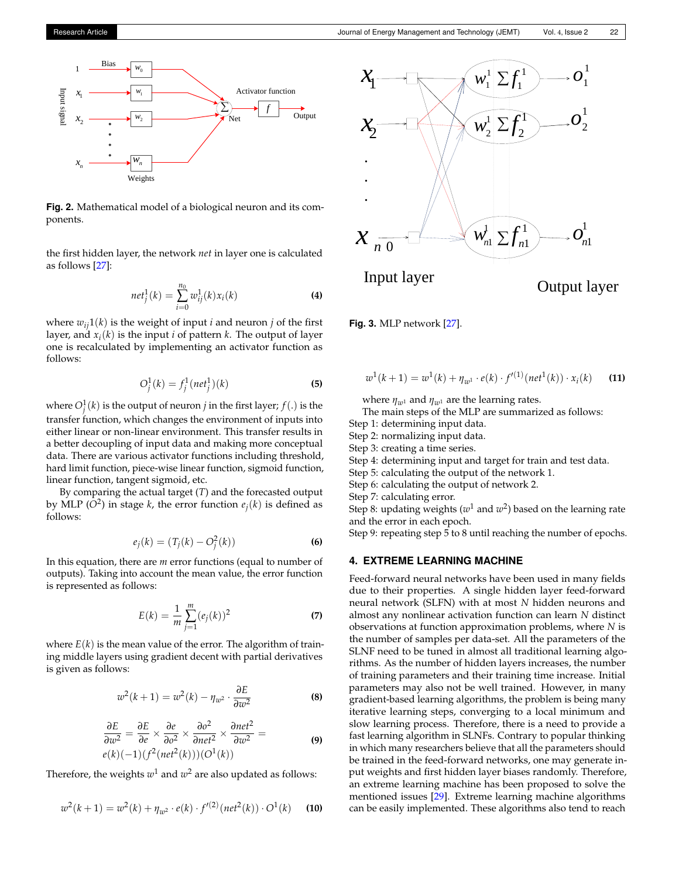<span id="page-2-0"></span>

**Fig. 2.** Mathematical model of a biological neuron and its components.

the first hidden layer, the network *net* in layer one is calculated as follows [\[27\]](#page-7-21):

$$
net_j^1(k) = \sum_{i=0}^{n_0} w_{ij}^1(k)x_i(k)
$$
 (4)

where  $w_{ij}1(k)$  is the weight of input *i* and neuron *j* of the first layer, and *x<sup>i</sup>* (*k*) is the input *i* of pattern *k*. The output of layer one is recalculated by implementing an activator function as follows:

$$
O_j^1(k) = f_j^1(net_j^1)(k)
$$
 (5)

where  $O_j^1(k)$  is the output of neuron *j* in the first layer;  $f(.)$  is the transfer function, which changes the environment of inputs into either linear or non-linear environment. This transfer results in a better decoupling of input data and making more conceptual data. There are various activator functions including threshold, hard limit function, piece-wise linear function, sigmoid function, linear function, tangent sigmoid, etc.

By comparing the actual target (*T*) and the forecasted output by MLP ( $\overline{O}^2$ ) in stage *k*, the error function  $e_j(k)$  is defined as follows:

$$
e_j(k) = (T_j(k) - O_j^2(k))
$$
 (6)

In this equation, there are *m* error functions (equal to number of outputs). Taking into account the mean value, the error function is represented as follows:

$$
E(k) = \frac{1}{m} \sum_{j=1}^{m} (e_j(k))^2
$$
 (7)

where  $E(k)$  is the mean value of the error. The algorithm of training middle layers using gradient decent with partial derivatives is given as follows:

$$
w^{2}(k+1) = w^{2}(k) - \eta_{w^{2}} \cdot \frac{\partial E}{\partial w^{2}}
$$
 (8)

$$
\frac{\partial E}{\partial w^2} = \frac{\partial E}{\partial e} \times \frac{\partial e}{\partial o^2} \times \frac{\partial o^2}{\partial net^2} \times \frac{\partial net^2}{\partial w^2} =
$$
  
 
$$
e(k)(-1)(f^2(net^2(k)))(O^1(k))
$$
 (9)

Therefore, the weights  $w^1$  and  $w^2$  are also updated as follows:

$$
w^{2}(k+1) = w^{2}(k) + \eta_{w^{2}} \cdot e(k) \cdot f^{\prime(2)}(net^{2}(k)) \cdot O^{1}(k)
$$
 (10)

<span id="page-2-1"></span>

**Fig. 3.** MLP network [\[27\]](#page-7-21).

$$
w^{1}(k+1) = w^{1}(k) + \eta_{w^{1}} \cdot e(k) \cdot f^{\prime(1)}(net^{1}(k)) \cdot x_{i}(k)
$$
 (11)

where  $\eta_{w^1}$  and  $\eta_{w^1}$  are the learning rates.

The main steps of the MLP are summarized as follows:

Step 1: determining input data.

Step 2: normalizing input data.

Step 3: creating a time series.

Step 4: determining input and target for train and test data.

Step 5: calculating the output of the network 1.

Step 6: calculating the output of network 2.

Step 7: calculating error.

Step 8: updating weights ( $w^1$  and  $w^2$ ) based on the learning rate and the error in each epoch.

Step 9: repeating step 5 to 8 until reaching the number of epochs.

### **4. EXTREME LEARNING MACHINE**

Feed-forward neural networks have been used in many fields due to their properties. A single hidden layer feed-forward neural network (SLFN) with at most *N* hidden neurons and almost any nonlinear activation function can learn *N* distinct observations at function approximation problems, where *N* is the number of samples per data-set. All the parameters of the SLNF need to be tuned in almost all traditional learning algorithms. As the number of hidden layers increases, the number of training parameters and their training time increase. Initial parameters may also not be well trained. However, in many gradient-based learning algorithms, the problem is being many iterative learning steps, converging to a local minimum and slow learning process. Therefore, there is a need to provide a fast learning algorithm in SLNFs. Contrary to popular thinking in which many researchers believe that all the parameters should be trained in the feed-forward networks, one may generate input weights and first hidden layer biases randomly. Therefore, an extreme learning machine has been proposed to solve the mentioned issues [\[29\]](#page-7-23). Extreme learning machine algorithms can be easily implemented. These algorithms also tend to reach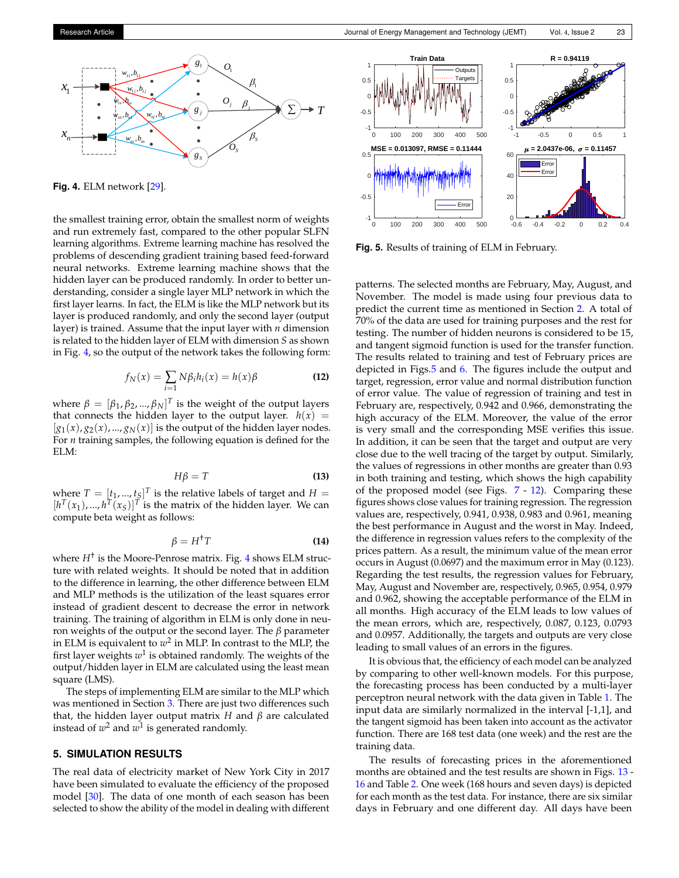<span id="page-3-0"></span>

**Fig. 4.** ELM network [\[29\]](#page-7-23).

the smallest training error, obtain the smallest norm of weights and run extremely fast, compared to the other popular SLFN learning algorithms. Extreme learning machine has resolved the problems of descending gradient training based feed-forward neural networks. Extreme learning machine shows that the hidden layer can be produced randomly. In order to better understanding, consider a single layer MLP network in which the first layer learns. In fact, the ELM is like the MLP network but its layer is produced randomly, and only the second layer (output layer) is trained. Assume that the input layer with *n* dimension is related to the hidden layer of ELM with dimension *S* as shown in Fig. [4,](#page-3-0) so the output of the network takes the following form:

$$
f_N(x) = \sum_{i=1} N\beta_i h_i(x) = h(x)\beta
$$
 (12)

where  $\beta = [\beta_1, \beta_2, ..., \beta_N]^T$  is the weight of the output layers that connects the hidden layer to the output layer.  $h(x) =$  $[g_1(x), g_2(x), ..., g_N(x)]$  is the output of the hidden layer nodes. For *n* training samples, the following equation is defined for the ELM:

$$
H\beta = T \tag{13}
$$

where  $T = [\underline{t}_1, ..., \underline{t}_S]^T$  is the relative labels of target and  $H =$  $[h^T(x_1), ..., h^T(x_S)]^T$  is the matrix of the hidden layer. We can compute beta weight as follows:

$$
\beta = H^{\dagger} T \tag{14}
$$

where *H*† is the Moore-Penrose matrix. Fig. [4](#page-3-0) shows ELM structure with related weights. It should be noted that in addition to the difference in learning, the other difference between ELM and MLP methods is the utilization of the least squares error instead of gradient descent to decrease the error in network training. The training of algorithm in ELM is only done in neuron weights of the output or the second layer. The *β* parameter in ELM is equivalent to  $w^2$  in MLP. In contrast to the MLP*,* the first layer weights  $w^1$  is obtained randomly. The weights of the output/hidden layer in ELM are calculated using the least mean square (LMS).

The steps of implementing ELM are similar to the MLP which was mentioned in Section [3.](#page-1-1) There are just two differences such that, the hidden layer output matrix *H* and *β* are calculated instead of  $w^2$  and  $w^1$  is generated randomly.

#### **5. SIMULATION RESULTS**

The real data of electricity market of New York City in 2017 have been simulated to evaluate the efficiency of the proposed model [\[30\]](#page-7-24). The data of one month of each season has been selected to show the ability of the model in dealing with different

<span id="page-3-1"></span>

**Fig. 5.** Results of training of ELM in February.

patterns. The selected months are February, May, August, and November. The model is made using four previous data to predict the current time as mentioned in Section [2.](#page-1-2) A total of 70% of the data are used for training purposes and the rest for testing. The number of hidden neurons is considered to be 15, and tangent sigmoid function is used for the transfer function. The results related to training and test of February prices are depicted in Figs[.5](#page-3-1) and [6.](#page-4-0) The figures include the output and target, regression, error value and normal distribution function of error value. The value of regression of training and test in February are, respectively, 0.942 and 0.966, demonstrating the high accuracy of the ELM. Moreover, the value of the error is very small and the corresponding MSE verifies this issue. In addition, it can be seen that the target and output are very close due to the well tracing of the target by output. Similarly, the values of regressions in other months are greater than 0.93 in both training and testing, which shows the high capability of the proposed model (see Figs. [7](#page-4-1) - [12\)](#page-5-0). Comparing these figures shows close values for training regression. The regression values are, respectively, 0.941, 0.938, 0.983 and 0.961, meaning the best performance in August and the worst in May. Indeed, the difference in regression values refers to the complexity of the prices pattern. As a result, the minimum value of the mean error occurs in August (0.0697) and the maximum error in May (0.123). Regarding the test results, the regression values for February, May, August and November are, respectively, 0.965, 0.954, 0.979 and 0.962, showing the acceptable performance of the ELM in all months. High accuracy of the ELM leads to low values of the mean errors, which are, respectively, 0.087, 0.123, 0.0793 and 0.0957. Additionally, the targets and outputs are very close leading to small values of an errors in the figures.

It is obvious that, the efficiency of each model can be analyzed by comparing to other well-known models. For this purpose, the forecasting process has been conducted by a multi-layer perceptron neural network with the data given in Table [1.](#page-5-1) The input data are similarly normalized in the interval [-1,1], and the tangent sigmoid has been taken into account as the activator function. There are 168 test data (one week) and the rest are the training data.

The results of forecasting prices in the aforementioned months are obtained and the test results are shown in Figs. [13](#page-5-2) - [16](#page-6-5) and Table [2.](#page-6-6) One week (168 hours and seven days) is depicted for each month as the test data. For instance, there are six similar days in February and one different day. All days have been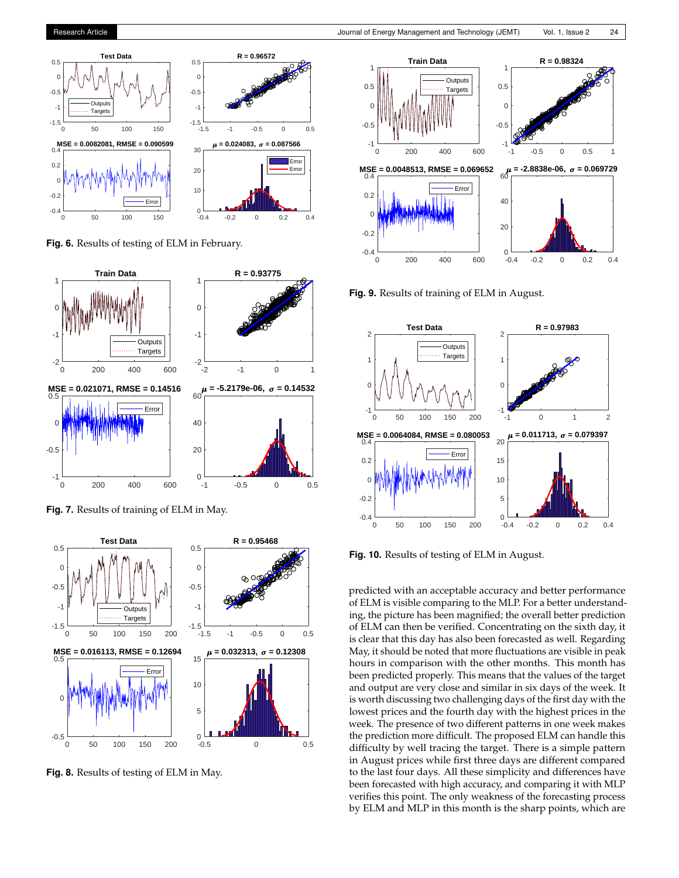# Medium term electricity price forecasting using extreme learning machine

LADAN PARHIZKARI<sup>1</sup>, ARSALAN NAJAFI<sup>1,\*</sup>, AND MAHDI GOLSHAN<sup>1</sup>

<sup>1</sup> Faculty of Engineering, Sepidan Branch, Islamic Azad University, Sepidan, Iran "Corresponding author: arsalan.naja @iausepidan.ac.ir

Manuscript received 9 October, 2019; revised 21 December, 2019, accepted 14 January, 2020. Paper no. JEMT-1910-1203.

Accurate electricity price forecasting gives a capability to make better decisions in the electricity market environment when this market is complicated due to severe uctuations. The main purpose of a prediction model is to forecast future prices. For doing this, the predicted variable (as output) and historical data (as input) should be close to each other. Machine learning is known as one of the most successful ways of forecasting time series. Extreme learning machine (ELM) is a feed-forward neural network with one hidden layer. Hence, in this paper, an extreme learning machine has been used for predicting electricity prices in a medium-term time horizon. The real data of New York City electricity market has been utilized to simulate and predict the electricity price in four seasons of the year. Finally, the ndings are compared with multi-layer perceptron (MLP) results, which prove the ef ciency of the model. © 2020 Journal of Energy Management and Technology

keywords: Electricity price, Forecasting, Time series, Extreme machine learning.

http://dx.doi.org/10.22109/jemt.2020.204642.1203

## 1. INTRODUCTION

### A. Motivation

In changing from the vertical structure of the power system to the competitive system in a restructured system, the economic transactions are traded based on power signals. These signals are affected by price offering in the electricity market. The majority of these price signals are produced in the day-ahead market. It is very important for market actors and influential entities to understand the severe fluctuations of electricity prices to increase their incomes. Therefore, market participants try to predict prices accurately [1].

#### **B.** Literature review

There are various methods to recognize and predict the behavior of a complex system such as time series. In many complex systems, especially nonlinear ones, it is impossible to use classical methods for prediction and control. These methods have features such as; intelligence, knowledge, expertise, and ability to learn and adaptation with the environment  $[2, 3]$ . Many methods have been examined in different time frames.

Different researches have been performed in a short-term period. Multiple regression in  $[4, 5]$ , variable time regression in [6], Box-Jenkis model in [7] and time series CARCH in  $[8]$  have been studied. Computational intelligence methods such as a neural network in  $[9, 10]$  and fuzzy logic in [11] have been used. In  $[12]$ , a forecasting strategy has been suggested for real-time

electricity market using publicly available market data. This study has used high-resolution data along with hourly data as inputs of two separate forecasting models with different forecast horizons. An intra-hour has also been considered to provide accurate updates on price predictions. Reference [13] has proposed a robust short-term price forecasting in the day-ahead transactions. Accuracy and effectiveness have been improved using a hybrid method for electricity price forecasting via artificial neural network and artificial cooperative search algorithm. An adaptive hybrid model including variational mode decomposition, self-adaptive particle swarm optimization, seasonal auto-regressive integrated moving average and deep belief network has also been presented in  $[14]$  for a short time horizon. In addition, a compound method from time series and ANFIS fuzzy logic has been suggested in  $[15]$ . In  $[16]$ , a compound method has predicted the market prices according to the pick prices in a day.

In [17], long-term and medium-term prediction have been done with a resolution of one hour. Reference [18] has determined the influence of out data on price prediction accuracy at a specific time. This article considers a threshold for data and removes out data for a correct prediction. In [19], one month prediction has been done for planning. It is obvious that long time predictions decrease investment costs. A long-term electricity price forecasting has been presented in [20]. The authors have used an auto-regression with exogenous variables and its non-linear counterpart; i.e., an auto-regression with exogenous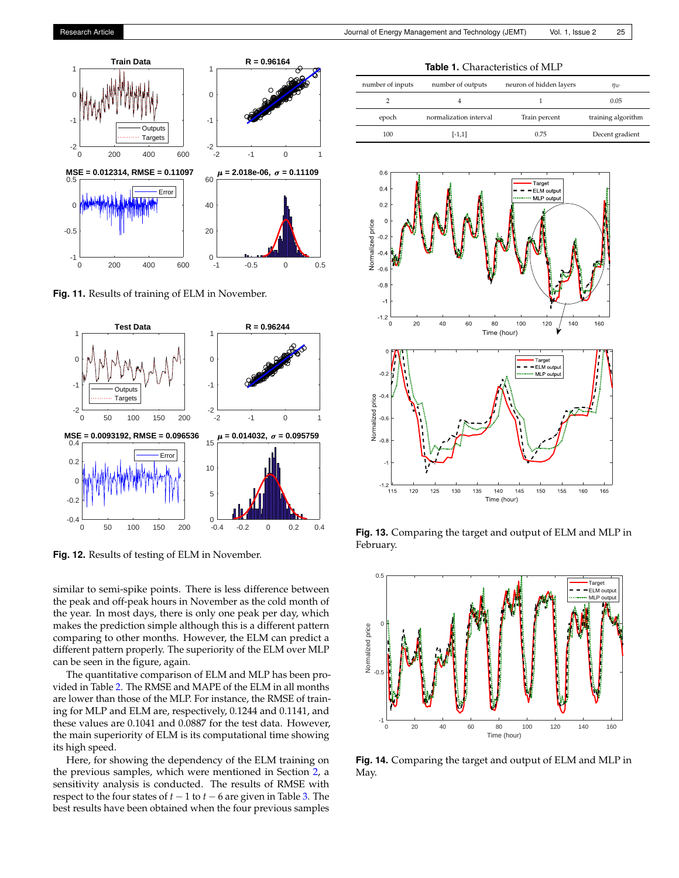

**Fig. 11.** Results of training of ELM in November.

<span id="page-5-0"></span>

**Fig. 12.** Results of testing of ELM in November.

similar to semi-spike points. There is less difference between the peak and off-peak hours in November as the cold month of the year. In most days, there is only one peak per day, which makes the prediction simple although this is a different pattern comparing to other months. However, the ELM can predict a different pattern properly. The superiority of the ELM over MLP can be seen in the figure, again.

The quantitative comparison of ELM and MLP has been provided in Table [2.](#page-6-6) The RMSE and MAPE of the ELM in all months are lower than those of the MLP. For instance, the RMSE of training for MLP and ELM are, respectively, 0.1244 and 0.1141, and these values are 0.1041 and 0.0887 for the test data. However, the main superiority of ELM is its computational time showing its high speed.

Here, for showing the dependency of the ELM training on the previous samples, which were mentioned in Section [2,](#page-1-2) a sensitivity analysis is conducted. The results of RMSE with respect to the four states of  $t - 1$  to  $t - 6$  are given in Table [3.](#page-6-7) The best results have been obtained when the four previous samples

**Table 1.** Characteristics of MLP

<span id="page-5-1"></span>

| number of inputs | number of outputs      | neuron of hidden layers | ηw                 |
|------------------|------------------------|-------------------------|--------------------|
|                  |                        |                         | 0.05               |
| epoch            | normalization interval | Train percent           | training algorithm |
| 100              | $[-1,1]$               | 0.75                    | Decent gradient    |

<span id="page-5-2"></span>

**Fig. 13.** Comparing the target and output of ELM and MLP in February.



**Fig. 14.** Comparing the target and output of ELM and MLP in May.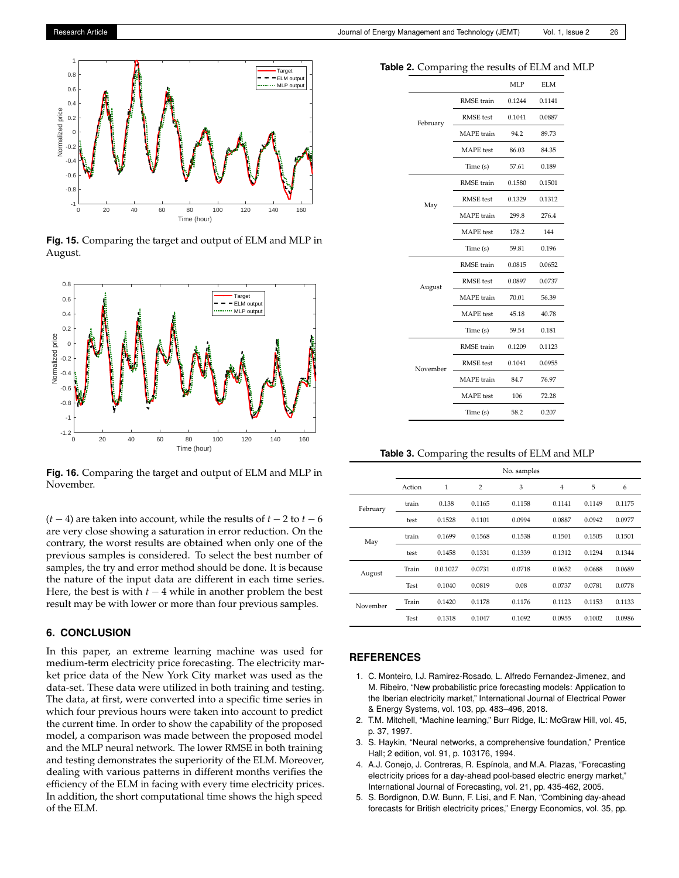

**Fig. 15.** Comparing the target and output of ELM and MLP in August.

<span id="page-6-5"></span>

**Fig. 16.** Comparing the target and output of ELM and MLP in November.

(*t* − 4) are taken into account, while the results of *t* − 2 to *t* − 6 are very close showing a saturation in error reduction. On the contrary, the worst results are obtained when only one of the previous samples is considered. To select the best number of samples, the try and error method should be done. It is because the nature of the input data are different in each time series. Here, the best is with  $t - 4$  while in another problem the best result may be with lower or more than four previous samples.

## **6. CONCLUSION**

In this paper, an extreme learning machine was used for medium-term electricity price forecasting. The electricity market price data of the New York City market was used as the data-set. These data were utilized in both training and testing. The data, at first, were converted into a specific time series in which four previous hours were taken into account to predict the current time. In order to show the capability of the proposed model, a comparison was made between the proposed model and the MLP neural network. The lower RMSE in both training and testing demonstrates the superiority of the ELM. Moreover, dealing with various patterns in different months verifies the efficiency of the ELM in facing with every time electricity prices. In addition, the short computational time shows the high speed of the ELM.

<span id="page-6-6"></span>

| <b>Table 2.</b> Comparing the results of ELM and MLP |  |  |
|------------------------------------------------------|--|--|
|------------------------------------------------------|--|--|

| д        | U                 |              |            |  |
|----------|-------------------|--------------|------------|--|
|          |                   | MLP          | <b>ELM</b> |  |
|          | RMSE train        | 0.1244       | 0.1141     |  |
| February | <b>RMSE</b> test  | 0.1041       | 0.0887     |  |
|          | MAPE train        | 94.2         | 89.73      |  |
|          | MAPE test         | 86.03        | 84.35      |  |
|          | Time (s)          | 57.61        | 0.189      |  |
|          | RMSE train        | 0.1580       | 0.1501     |  |
| May      | <b>RMSE</b> test  | 0.1329       | 0.1312     |  |
|          | <b>MAPE</b> train | 299.8        | 276.4      |  |
|          | <b>MAPE</b> test  | 178.2        | 144        |  |
|          | Time (s)          | 59.81        | 0.196      |  |
|          | RMSE train        | 0.0815       | 0.0652     |  |
| August   | <b>RMSE</b> test  | 0.0897       | 0.0737     |  |
|          | <b>MAPE</b> train | 70.01        | 56.39      |  |
|          | <b>MAPE</b> test  | 45.18        | 40.78      |  |
|          | Time (s)          | 59.54        | 0.181      |  |
|          | RMSE train        | 0.1209       | 0.1123     |  |
| November | <b>RMSE</b> test  | 0.1041       | 0.0955     |  |
|          | <b>MAPE</b> train | 84.7         | 76.97      |  |
|          | <b>MAPE</b> test  | 106<br>72.28 |            |  |
|          | Time (s)          | 58.2         | 0.207      |  |

**Table 3.** Comparing the results of ELM and MLP

<span id="page-6-7"></span>

|          | No. samples |          |                |        |        |        |        |
|----------|-------------|----------|----------------|--------|--------|--------|--------|
|          | Action      | 1        | $\overline{2}$ | 3      | 4      | 5      | 6      |
| February | train       | 0.138    | 0.1165         | 0.1158 | 0.1141 | 0.1149 | 0.1175 |
|          | test        | 0.1528   | 0.1101         | 0.0994 | 0.0887 | 0.0942 | 0.0977 |
| May      | train       | 0.1699   | 0.1568         | 0.1538 | 0.1501 | 0.1505 | 0.1501 |
|          | test        | 0.1458   | 0.1331         | 0.1339 | 0.1312 | 0.1294 | 0.1344 |
| August   | Train       | 0.0.1027 | 0.0731         | 0.0718 | 0.0652 | 0.0688 | 0.0689 |
|          | Test        | 0.1040   | 0.0819         | 0.08   | 0.0737 | 0.0781 | 0.0778 |
| November | Train       | 0.1420   | 0.1178         | 0.1176 | 0.1123 | 0.1153 | 0.1133 |
|          | Test        | 0.1318   | 0.1047         | 0.1092 | 0.0955 | 0.1002 | 0.0986 |

#### **REFERENCES**

- <span id="page-6-0"></span>1. C. Monteiro, I.J. Ramirez-Rosado, L. Alfredo Fernandez-Jimenez, and M. Ribeiro, "New probabilistic price forecasting models: Application to the Iberian electricity market," International Journal of Electrical Power & Energy Systems, vol. 103, pp. 483–496, 2018.
- <span id="page-6-1"></span>2. T.M. Mitchell, "Machine learning," Burr Ridge, IL: McGraw Hill, vol. 45, p. 37, 1997.
- <span id="page-6-2"></span>3. S. Haykin, "Neural networks, a comprehensive foundation," Prentice Hall; 2 edition, vol. 91, p. 103176, 1994.
- <span id="page-6-3"></span>4. A.J. Conejo, J. Contreras, R. Espínola, and M.A. Plazas, "Forecasting electricity prices for a day-ahead pool-based electric energy market," International Journal of Forecasting, vol. 21, pp. 435-462, 2005.
- <span id="page-6-4"></span>5. S. Bordignon, D.W. Bunn, F. Lisi, and F. Nan, "Combining day-ahead forecasts for British electricity prices," Energy Economics, vol. 35, pp.